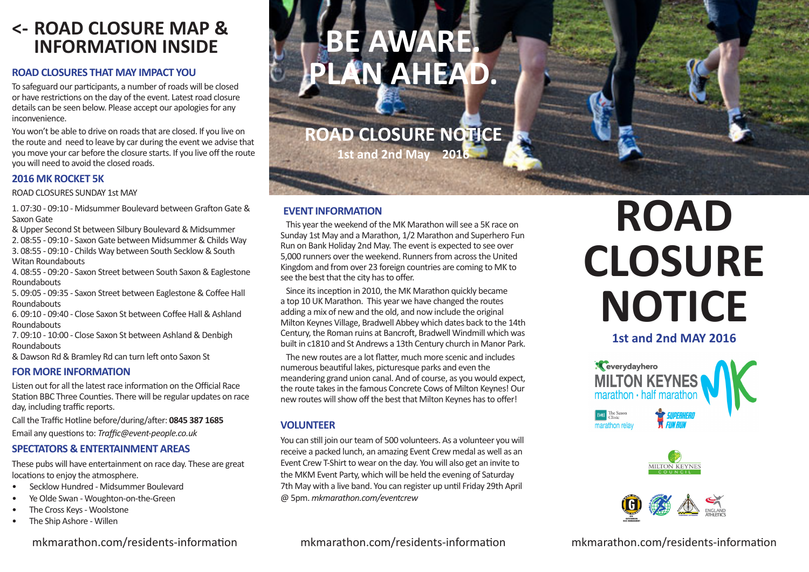## **INFORMATION INSIDE**

### **ROAD CLOSURES THAT MAY IMPACT YOU**

To safeguard our participants, a number of roads will be closed or have restrictions on the day of the event. Latest road closure details can be seen below. Please accept our apologies for any .inconvenience

You won't be able to drive on roads that are closed. If you live on the route and need to leave by car during the event we advise that you move your car before the closure starts. If you live off the route you will need to avoid the closed roads.

### **2016 MK ROCKET 5K**

ROAD CLOSURES SUNDAY 1st MAY

1, 07:30 - 09:10 - Midsummer Boulevard between Grafton Gate & Saxon Gate

& Upper Second St between Silbury Boulevard & Midsummer

2. 08:55 - 09:10 - Saxon Gate between Midsummer & Childs Way 3.08:55 - 09:10 - Childs Way between South Secklow & South Witan Roundabouts

4. 08:55 - 09:20 - Saxon Street between South Saxon & Eaglestone Roundabouts

5. 09:05 - 09:35 - Saxon Street between Eaglestone & Coffee Hall Roundabouts

6, 09:10 - 09:40 - Close Saxon St between Coffee Hall & Ashland **Roundabouts** 

7. 09:10 - 10:00 - Close Saxon St between Ashland & Denbigh Roundabouts

& Dawson Rd & Bramley Rd can turn left onto Saxon St

### **FOR MORE INFORMATION**

Listen out for all the latest race information on the Official Race Station BBC Three Counties. There will be regular updates on race day, including traffic reports.

Call the Traffic Hotline before/during/after: 0845 387 1685 **Email any questions to: Traffic@event-people.co.uk** 

### **SPECTATORS & ENTERTAINMENT AREAS**

These pubs will have entertainment on race day. These are great locations to enjoy the atmosphere.

- Secklow Hundred Midsummer Boulevard
- Ye Olde Swan Woughton-on-the-Green
- The Cross Keys Woolstone
- The Ship Ashore Willen

### mkmarathon.com/residents-information

### **BE AWARE.** LAN AHEAD.

**ROAD CLOSURE NOTICE** 

**1st and 2nd May 2016** 

### **EVENT INFORMATION**

This year the weekend of the MK Marathon will see a 5K race on Sunday 1st May and a Marathon, 1/2 Marathon and Superhero Fun Run on Bank Holiday 2nd May. The event is expected to see over 5,000 runners over the weekend. Runners from across the United Kingdom and from over 23 foreign countries are coming to MK to see the best that the city has to offer.

Since its inception in 2010, the MK Marathon quickly became a top 10 UK Marathon. This year we have changed the routes adding a mix of new and the old, and now include the original Milton Keynes Village, Bradwell Abbey which dates back to the 14th Century, the Roman ruins at Bancroft, Bradwell Windmill which was built in c1810 and St Andrews a 13th Century church in Manor Park.

The new routes are a lot flatter, much more scenic and includes numerous beautiful lakes, picturesque parks and even the meandering grand union canal. And of course, as you would expect, the route takes in the famous Concrete Cows of Milton Keynes! Our new routes will show off the best that Milton Keynes has to offer!

### **VOLUNTEER**

You can still join our team of 500 volunteers. As a volunteer you will receive a packed lunch, an amazing Event Crew medal as well as an Event Crew T-Shirt to wear on the day. You will also get an invite to the MKM Event Party, which will be held the evening of Saturday 7th May with a live band. You can register up until Friday 29th April  $@$  5pm. mkmarathon.com/eventcrew

# **ROAD CLOSURE NOTICE**

**1st and 2nd MAY 2016** 







mkmarathon.com/residents-information

mkmarathon.com/residents-information